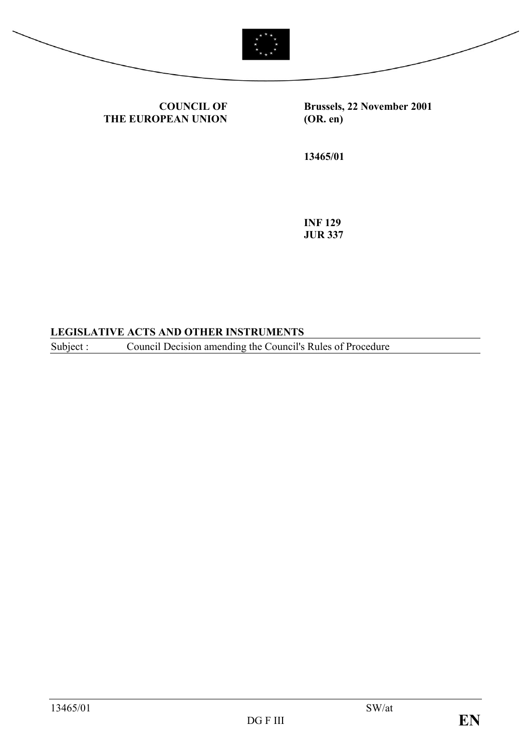



**COUNCIL OF THE EUROPEAN UNION** **Brussels, 22 November 2001 (OR. en)**

**13465/01**

**INF 129 JUR 337**

#### **LEGISLATIVE ACTS AND OTHER INSTRUMENTS**

Subject : Council Decision amending the Council's Rules of Procedure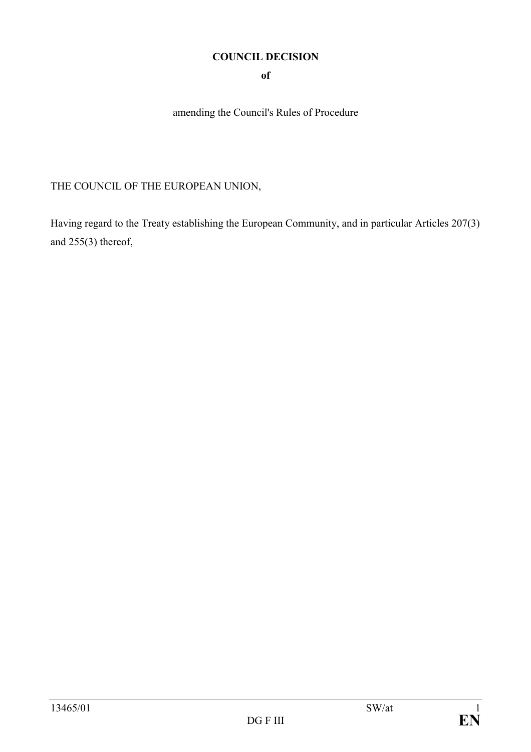#### **COUNCIL DECISION**

**of**

amending the Council's Rules of Procedure

## THE COUNCIL OF THE EUROPEAN UNION,

Having regard to the Treaty establishing the European Community, and in particular Articles 207(3) and 255(3) thereof,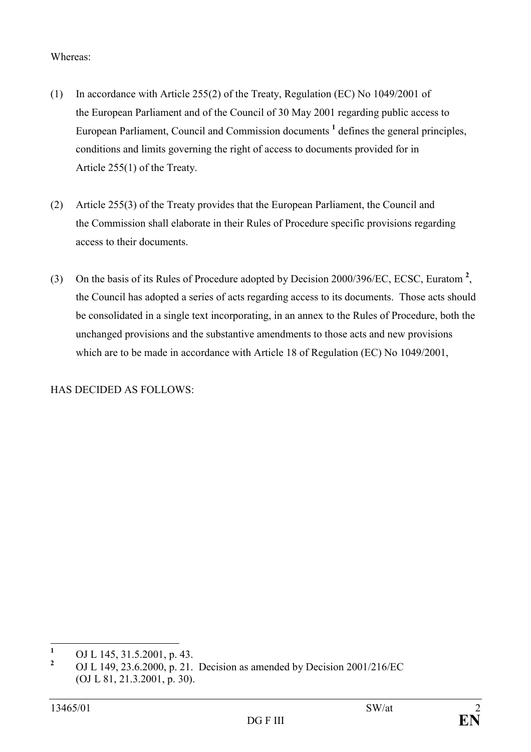#### Whereas:

- (1) In accordance with Article 255(2) of the Treaty, Regulation (EC) No 1049/2001 of the European Parliament and of the Council of 30 May 2001 regarding public access to European Parliament, Council and Commission documents **<sup>1</sup>** defines the general principles, conditions and limits governing the right of access to documents provided for in Article 255(1) of the Treaty.
- (2) Article 255(3) of the Treaty provides that the European Parliament, the Council and the Commission shall elaborate in their Rules of Procedure specific provisions regarding access to their documents.
- (3) On the basis of its Rules of Procedure adopted by Decision 2000/396/EC, ECSC, Euratom **<sup>2</sup>** , the Council has adopted a series of acts regarding access to its documents. Those acts should be consolidated in a single text incorporating, in an annex to the Rules of Procedure, both the unchanged provisions and the substantive amendments to those acts and new provisions which are to be made in accordance with Article 18 of Regulation (EC) No 1049/2001,

HAS DECIDED AS FOLLOWS:

 **1** OJ L 145, 31.5.2001, p. 43.

**<sup>2</sup>** OJ L 149, 23.6.2000, p. 21. Decision as amended by Decision 2001/216/EC (OJ L 81, 21.3.2001, p. 30).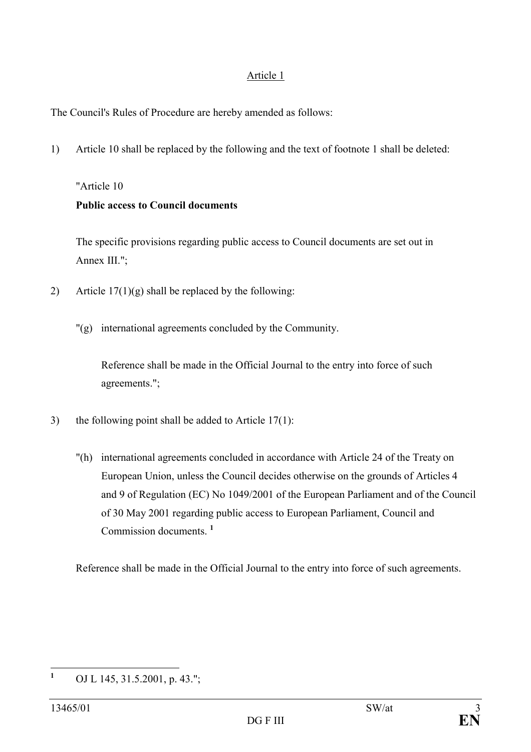#### Article 1

The Council's Rules of Procedure are hereby amended as follows:

1) Article 10 shall be replaced by the following and the text of footnote 1 shall be deleted:

### "Article 10

### **Public access to Council documents**

The specific provisions regarding public access to Council documents are set out in Annex III.";

- 2) Article  $17(1)(g)$  shall be replaced by the following:
	- "(g) international agreements concluded by the Community.

Reference shall be made in the Official Journal to the entry into force of such agreements.";

- 3) the following point shall be added to Article  $17(1)$ :
	- "(h) international agreements concluded in accordance with Article 24 of the Treaty on European Union, unless the Council decides otherwise on the grounds of Articles 4 and 9 of Regulation (EC) No 1049/2001 of the European Parliament and of the Council of 30 May 2001 regarding public access to European Parliament, Council and Commission documents. **<sup>1</sup>**

Reference shall be made in the Official Journal to the entry into force of such agreements.

 **1** OJ L 145, 31.5.2001, p. 43.";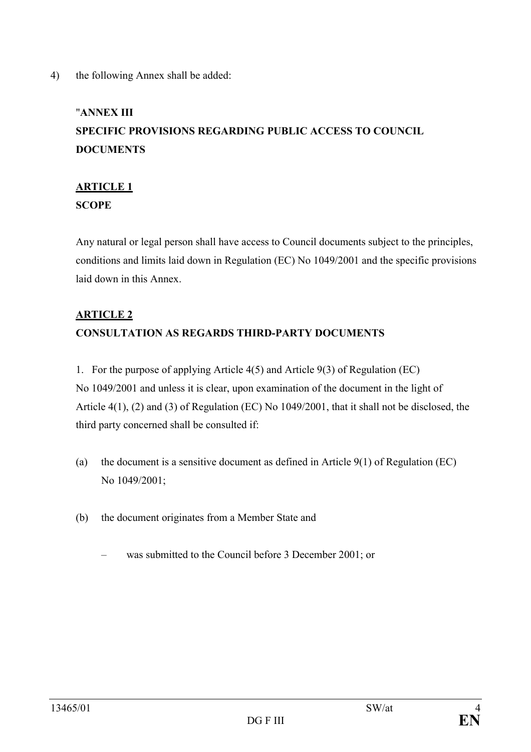#### 4) the following Annex shall be added:

# "**ANNEX III SPECIFIC PROVISIONS REGARDING PUBLIC ACCESS TO COUNCIL DOCUMENTS**

## **ARTICLE 1 SCOPE**

Any natural or legal person shall have access to Council documents subject to the principles, conditions and limits laid down in Regulation (EC) No 1049/2001 and the specific provisions laid down in this Annex.

## **ARTICLE 2 CONSULTATION AS REGARDS THIRD-PARTY DOCUMENTS**

1. For the purpose of applying Article 4(5) and Article 9(3) of Regulation (EC) No 1049/2001 and unless it is clear, upon examination of the document in the light of Article 4(1), (2) and (3) of Regulation (EC) No 1049/2001, that it shall not be disclosed, the third party concerned shall be consulted if:

- (a) the document is a sensitive document as defined in Article  $9(1)$  of Regulation (EC) No 1049/2001;
- (b) the document originates from a Member State and
	- was submitted to the Council before 3 December 2001; or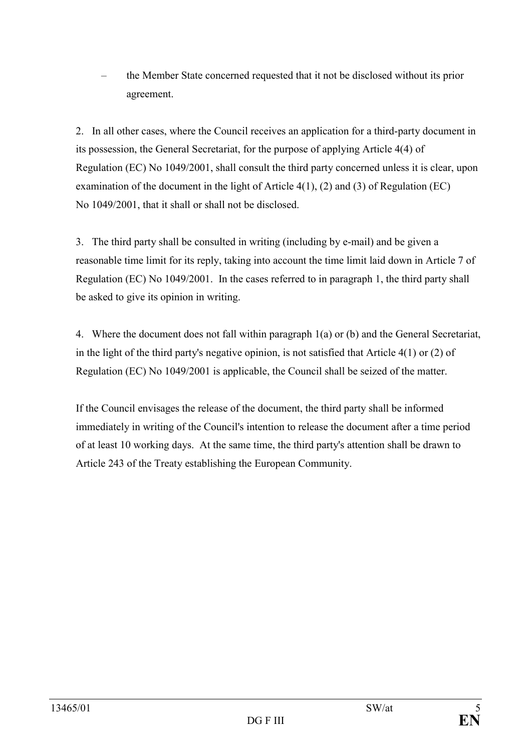– the Member State concerned requested that it not be disclosed without its prior agreement.

2. In all other cases, where the Council receives an application for a third-party document in its possession, the General Secretariat, for the purpose of applying Article 4(4) of Regulation (EC) No 1049/2001, shall consult the third party concerned unless it is clear, upon examination of the document in the light of Article 4(1), (2) and (3) of Regulation (EC) No 1049/2001, that it shall or shall not be disclosed.

3. The third party shall be consulted in writing (including by e-mail) and be given a reasonable time limit for its reply, taking into account the time limit laid down in Article 7 of Regulation (EC) No 1049/2001. In the cases referred to in paragraph 1, the third party shall be asked to give its opinion in writing.

4. Where the document does not fall within paragraph 1(a) or (b) and the General Secretariat, in the light of the third party's negative opinion, is not satisfied that Article 4(1) or (2) of Regulation (EC) No 1049/2001 is applicable, the Council shall be seized of the matter.

If the Council envisages the release of the document, the third party shall be informed immediately in writing of the Council's intention to release the document after a time period of at least 10 working days. At the same time, the third party's attention shall be drawn to Article 243 of the Treaty establishing the European Community.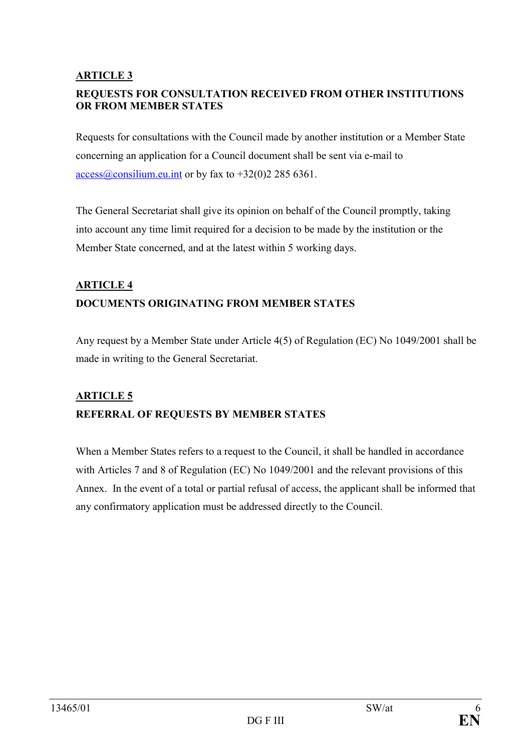#### **ARTICLE 3**

### **REQUESTS FOR CONSULTATION RECEIVED FROM OTHER INSTITUTIONS OR FROM MEMBER STATES**

Requests for consultations with the Council made by another institution or a Member State concerning an application for a Council document shall be sent via e-mail to  $\arccos(\omega \cos(1)$  equals access  $\arccos(\omega \cos(1)$  access  $\arccos(\omega \cos(1)$  and  $\arctan(\omega \cos(1))$  access  $\arccos(\omega \cos(1)$  and  $\arctan(\omega \cos(1))$ 

The General Secretariat shall give its opinion on behalf of the Council promptly, taking into account any time limit required for a decision to be made by the institution or the Member State concerned, and at the latest within 5 working days.

# **ARTICLE 4 DOCUMENTS ORIGINATING FROM MEMBER STATES**

Any request by a Member State under Article 4(5) of Regulation (EC) No 1049/2001 shall be made in writing to the General Secretariat.

## **ARTICLE 5 REFERRAL OF REQUESTS BY MEMBER STATES**

When a Member States refers to a request to the Council, it shall be handled in accordance with Articles 7 and 8 of Regulation (EC) No 1049/2001 and the relevant provisions of this Annex. In the event of a total or partial refusal of access, the applicant shall be informed that any confirmatory application must be addressed directly to the Council.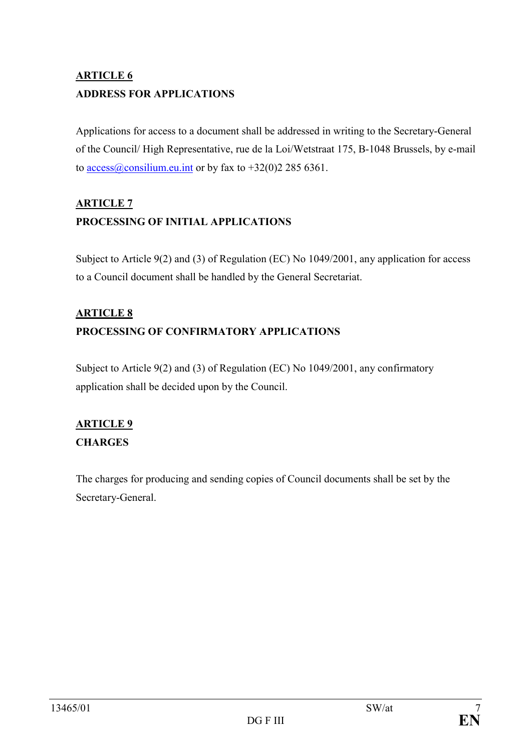# **ARTICLE 6 ADDRESS FOR APPLICATIONS**

Applications for access to a document shall be addressed in writing to the Secretary-General of the Council/ High Representative, rue de la Loi/Wetstraat 175, B-1048 Brussels, by e-mail to access@consilium.eu.int or by fax to  $+32(0)22856361$ .

## **ARTICLE 7 PROCESSING OF INITIAL APPLICATIONS**

Subject to Article 9(2) and (3) of Regulation (EC) No 1049/2001, any application for access to a Council document shall be handled by the General Secretariat.

# **ARTICLE 8 PROCESSING OF CONFIRMATORY APPLICATIONS**

Subject to Article 9(2) and (3) of Regulation (EC) No 1049/2001, any confirmatory application shall be decided upon by the Council.

## **ARTICLE 9 CHARGES**

The charges for producing and sending copies of Council documents shall be set by the Secretary-General.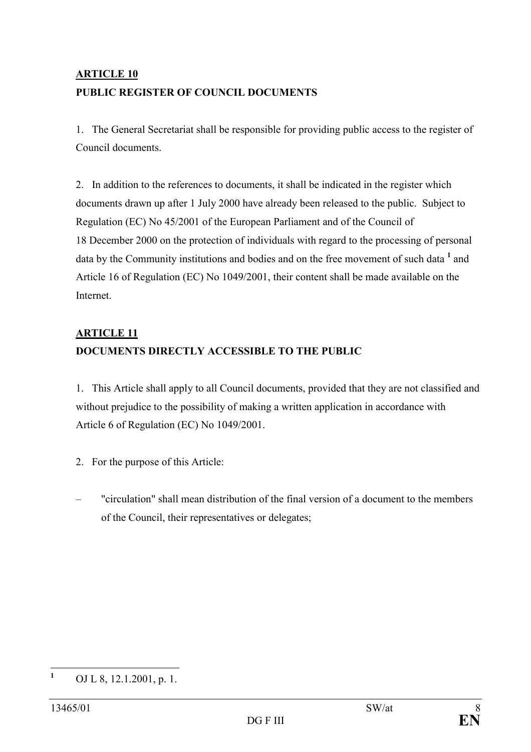# **ARTICLE 10 PUBLIC REGISTER OF COUNCIL DOCUMENTS**

1. The General Secretariat shall be responsible for providing public access to the register of Council documents.

2. In addition to the references to documents, it shall be indicated in the register which documents drawn up after 1 July 2000 have already been released to the public. Subject to Regulation (EC) No 45/2001 of the European Parliament and of the Council of 18 December 2000 on the protection of individuals with regard to the processing of personal data by the Community institutions and bodies and on the free movement of such data <sup>1</sup> and Article 16 of Regulation (EC) No 1049/2001, their content shall be made available on the Internet.

## **ARTICLE 11 DOCUMENTS DIRECTLY ACCESSIBLE TO THE PUBLIC**

1. This Article shall apply to all Council documents, provided that they are not classified and without prejudice to the possibility of making a written application in accordance with Article 6 of Regulation (EC) No 1049/2001.

- 2. For the purpose of this Article:
- "circulation" shall mean distribution of the final version of a document to the members of the Council, their representatives or delegates;

 **1** OJ L 8, 12.1.2001, p. 1.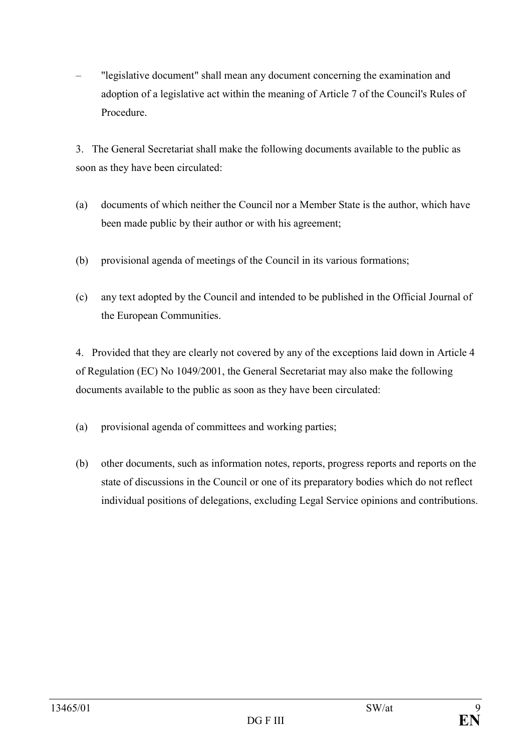– "legislative document" shall mean any document concerning the examination and adoption of a legislative act within the meaning of Article 7 of the Council's Rules of Procedure.

3. The General Secretariat shall make the following documents available to the public as soon as they have been circulated:

- (a) documents of which neither the Council nor a Member State is the author, which have been made public by their author or with his agreement;
- (b) provisional agenda of meetings of the Council in its various formations;
- (c) any text adopted by the Council and intended to be published in the Official Journal of the European Communities.

4. Provided that they are clearly not covered by any of the exceptions laid down in Article 4 of Regulation (EC) No 1049/2001, the General Secretariat may also make the following documents available to the public as soon as they have been circulated:

- (a) provisional agenda of committees and working parties;
- (b) other documents, such as information notes, reports, progress reports and reports on the state of discussions in the Council or one of its preparatory bodies which do not reflect individual positions of delegations, excluding Legal Service opinions and contributions.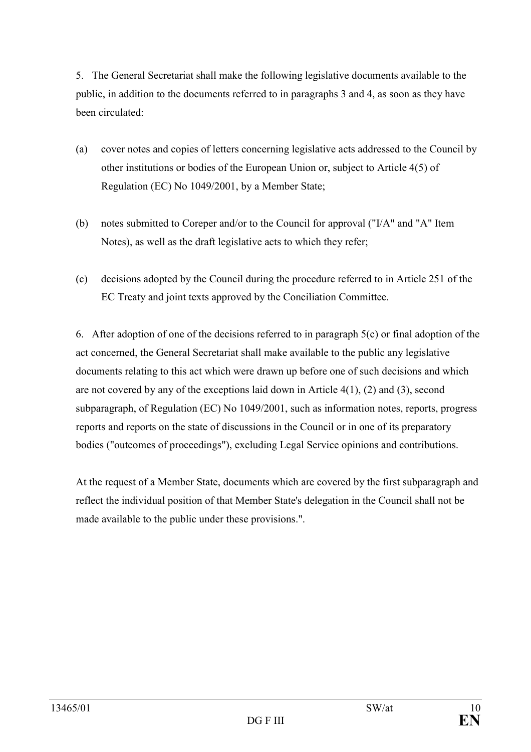5. The General Secretariat shall make the following legislative documents available to the public, in addition to the documents referred to in paragraphs 3 and 4, as soon as they have been circulated:

- (a) cover notes and copies of letters concerning legislative acts addressed to the Council by other institutions or bodies of the European Union or, subject to Article 4(5) of Regulation (EC) No 1049/2001, by a Member State;
- (b) notes submitted to Coreper and/or to the Council for approval ("I/A" and "A" Item Notes), as well as the draft legislative acts to which they refer;
- (c) decisions adopted by the Council during the procedure referred to in Article 251 of the EC Treaty and joint texts approved by the Conciliation Committee.

6. After adoption of one of the decisions referred to in paragraph 5(c) or final adoption of the act concerned, the General Secretariat shall make available to the public any legislative documents relating to this act which were drawn up before one of such decisions and which are not covered by any of the exceptions laid down in Article 4(1), (2) and (3), second subparagraph, of Regulation (EC) No 1049/2001, such as information notes, reports, progress reports and reports on the state of discussions in the Council or in one of its preparatory bodies ("outcomes of proceedings"), excluding Legal Service opinions and contributions.

At the request of a Member State, documents which are covered by the first subparagraph and reflect the individual position of that Member State's delegation in the Council shall not be made available to the public under these provisions.".